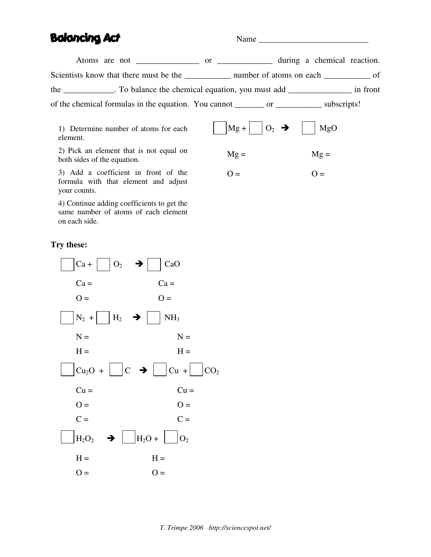# Balancing Act

Name

 $Mg =$ 

 $O =$ 

 $\vert$ Mg +  $\vert$  O<sub>2</sub>  $\rightarrow$   $\vert$   $\vert$  MgO

 $Mg =$ 

 $O =$ 

Atoms are not \_\_\_\_\_\_\_\_\_\_\_\_\_\_\_\_ or \_\_\_\_\_\_\_\_\_\_\_\_ during a chemical reaction. Scientists know that there must be the \_\_\_\_\_\_\_\_\_\_\_ number of atoms on each \_\_\_\_\_\_\_\_\_\_\_ of the \_\_\_\_\_\_\_\_\_\_\_\_. To balance the chemical equation, you must add \_\_\_\_\_\_\_\_\_\_\_\_\_\_\_ in front of the chemical formulas in the equation. You cannot \_\_\_\_\_\_\_ or \_\_\_\_\_\_\_\_\_\_\_ subscripts!

1) Determine number of atoms for each element.

2) Pick an element that is not equal on both sides of the equation.

3) Add a coefficient in front of the formula with that element and adjust your counts.

4) Continue adding coefficients to get the same number of atoms of each element on each side.

## **Try these:**

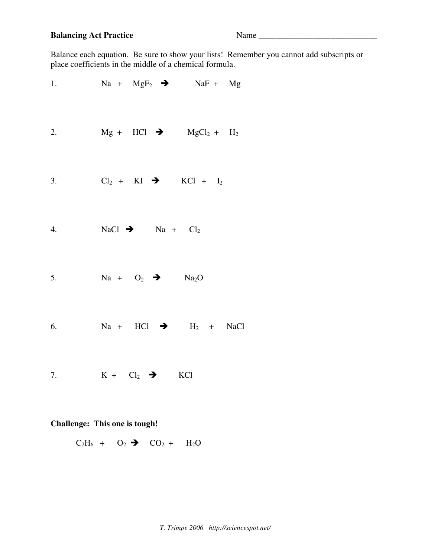# **Balancing Act Practice** Name \_\_\_\_\_\_\_\_\_\_\_\_\_\_\_\_\_\_\_\_\_\_\_\_\_\_\_\_

Balance each equation. Be sure to show your lists! Remember you cannot add subscripts or place coefficients in the middle of a chemical formula.

| 1. | $Na + MgF_2$ $\rightarrow$ $NaF + Mg$   |  |
|----|-----------------------------------------|--|
| 2. | $Mg + HCl$ $\rightarrow$ $MgCl_2 + H_2$ |  |
| 3. | $Cl_2 + KI \rightarrow KCl + I_2$       |  |
| 4. | NaCl $\rightarrow$ Na + Cl <sub>2</sub> |  |
| 5. | $Na + O_2$ $\rightarrow$ $Na_2O$        |  |
| 6. | $Na + HCl$ $\rightarrow$ $H_2 + NaCl$   |  |
| 7. | $K + Cl_2 \rightarrow KCl$              |  |

# **Challenge: This one is tough!**

 $C_2H_6 + O_2 \rightarrow CO_2 + H_2O$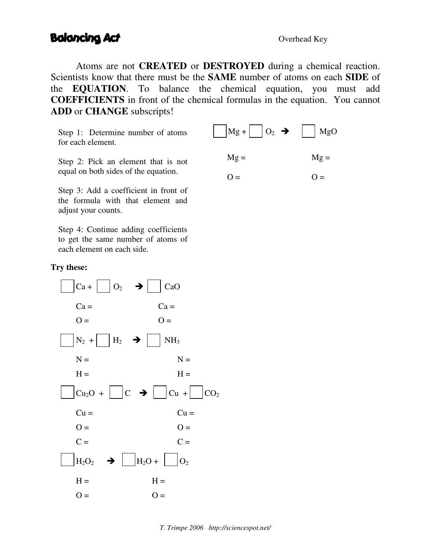# Balancing Act

Atoms are not **CREATED** or **DESTROYED** during a chemical reaction. Scientists know that there must be the **SAME** number of atoms on each **SIDE** of the **EQUATION**. To balance the chemical equation, you must add **COEFFICIENTS** in front of the chemical formulas in the equation. You cannot **ADD** or **CHANGE** subscripts!

Step 1: Determine number of atoms for each element.

 $Mg + | O_2 \rightarrow | MgO$  $Mg =$  $Q =$  $Mg =$  $O =$ 

Step 2: Pick an element that is not equal on both sides of the equation.

Step 3: Add a coefficient in front of the formula with that element and adjust your counts.

Step 4: Continue adding coefficients to get the same number of atoms of each element on each side.

#### **Try these:**

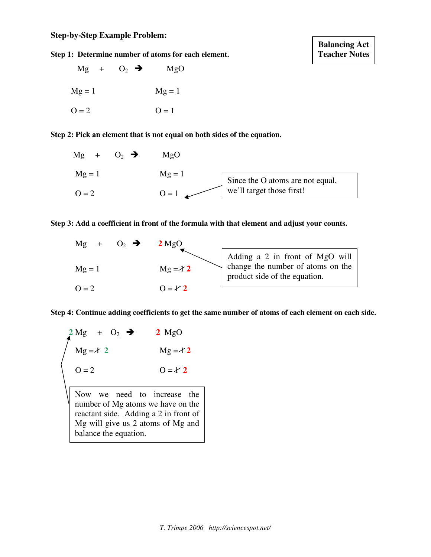**Step 1: Determine number of atoms for each element.**



**Step 2: Pick an element that is not equal on both sides of the equation.**



#### **Step 3: Add a coefficient in front of the formula with that element and adjust your counts.**



**Step 4: Continue adding coefficients to get the same number of atoms of each element on each side.**

| $\sum_{\text{Mg} = \lambda 2}^{\lambda \text{Mg}} 1 + O_2 \rightarrow$ | $2 \text{ MgO}$ |
|------------------------------------------------------------------------|-----------------|
|                                                                        | $Mg = \angle 2$ |
| $Q = 2$                                                                | $0 = Y 2$       |

Now we need to increase the number of Mg atoms we have on the reactant side. Adding a 2 in front of Mg will give us 2 atoms of Mg and balance the equation.